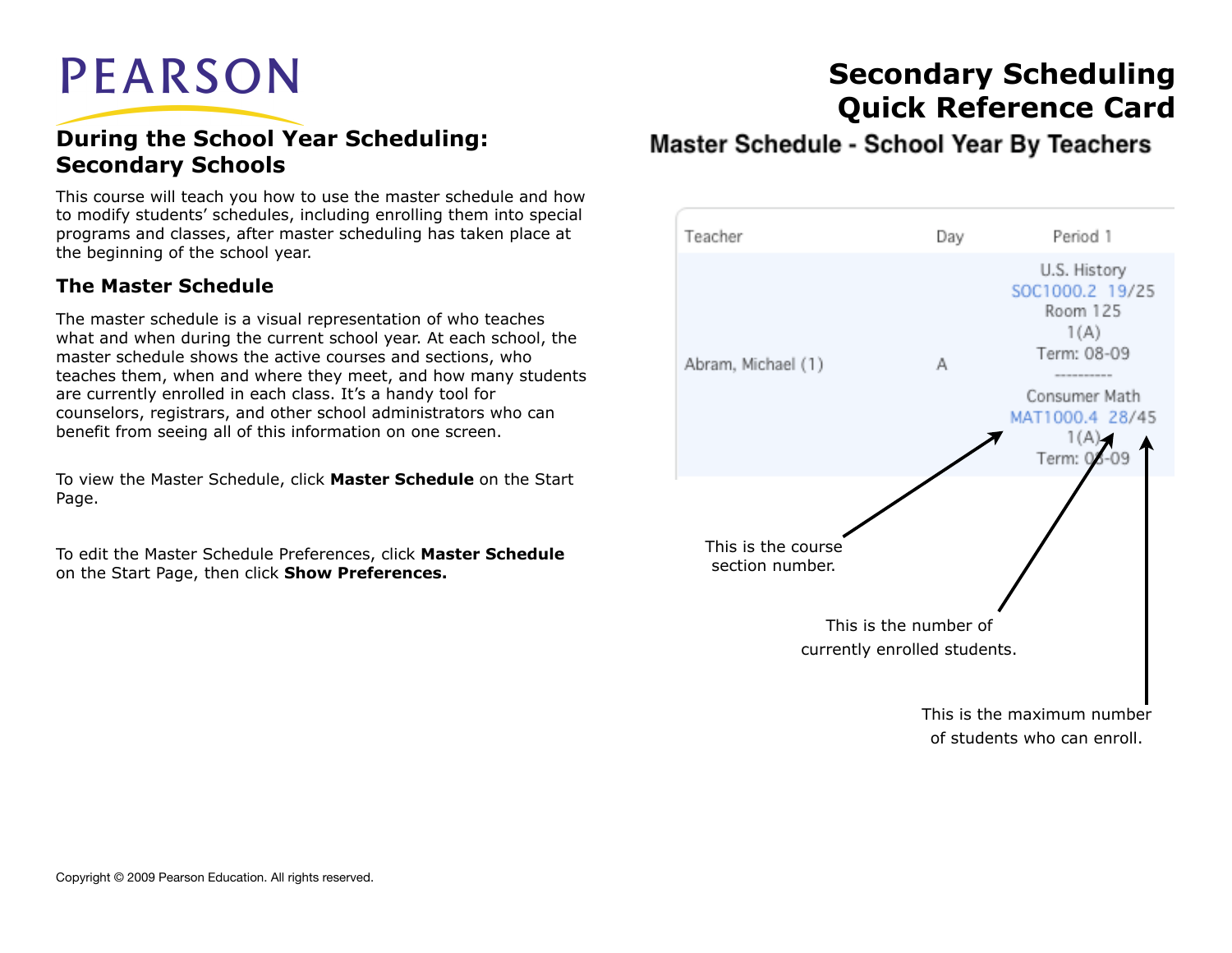# **PEARSON**

#### **During the School Year Scheduling: Secondary Schools**

This course will teach you how to use the master schedule and how to modify students' schedules, including enrolling them into special programs and classes, after master scheduling has taken place at the beginning of the school year.

#### **The Master Schedule**

The master schedule is a visual representation of who teaches what and when during the current school year. At each school, the master schedule shows the active courses and sections, who teaches them, when and where they meet, and how many students are currently enrolled in each class. It's a handy tool for counselors, registrars, and other school administrators who can benefit from seeing all of this information on one screen.

To view the Master Schedule, click **Master Schedule** on the Start Page.

To edit the Master Schedule Preferences, click **Master Schedule**  on the Start Page, then click **Show Preferences.**

# **Secondary Scheduling Quick Reference Card**

#### Master Schedule - School Year By Teachers

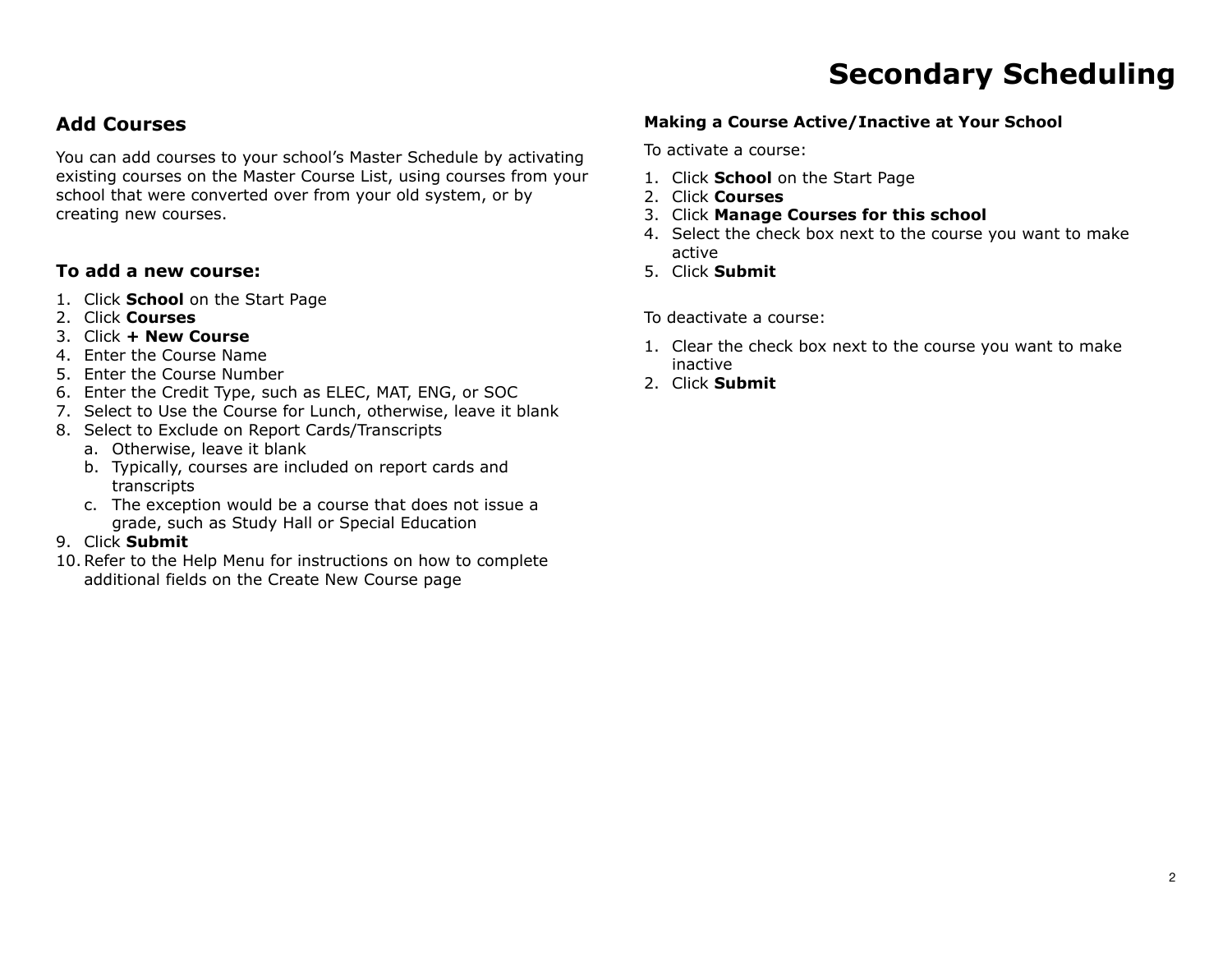#### **Add Courses**

You can add courses to your school's Master Schedule by activating existing courses on the Master Course List, using courses from your school that were converted over from your old system, or by creating new courses.

#### **To add a new course:**

- 1. Click **School** on the Start Page
- 2. Click **Courses**
- 3. Click **+ New Course**
- 4. Enter the Course Name
- 5. Enter the Course Number
- 6. Enter the Credit Type, such as ELEC, MAT, ENG, or SOC
- 7. Select to Use the Course for Lunch, otherwise, leave it blank
- 8. Select to Exclude on Report Cards/Transcripts
	- a. Otherwise, leave it blank
	- b. Typically, courses are included on report cards and transcripts
	- c. The exception would be a course that does not issue a grade, such as Study Hall or Special Education
- 9. Click **Submit**
- 10.Refer to the Help Menu for instructions on how to complete additional fields on the Create New Course page

#### **Making a Course Active/Inactive at Your School**

To activate a course:

- 1. Click **School** on the Start Page
- 2. Click **Courses**
- 3. Click **Manage Courses for this school**
- 4. Select the check box next to the course you want to make active
- 5. Click **Submit**

To deactivate a course:

- 1. Clear the check box next to the course you want to make inactive
- 2. Click **Submit**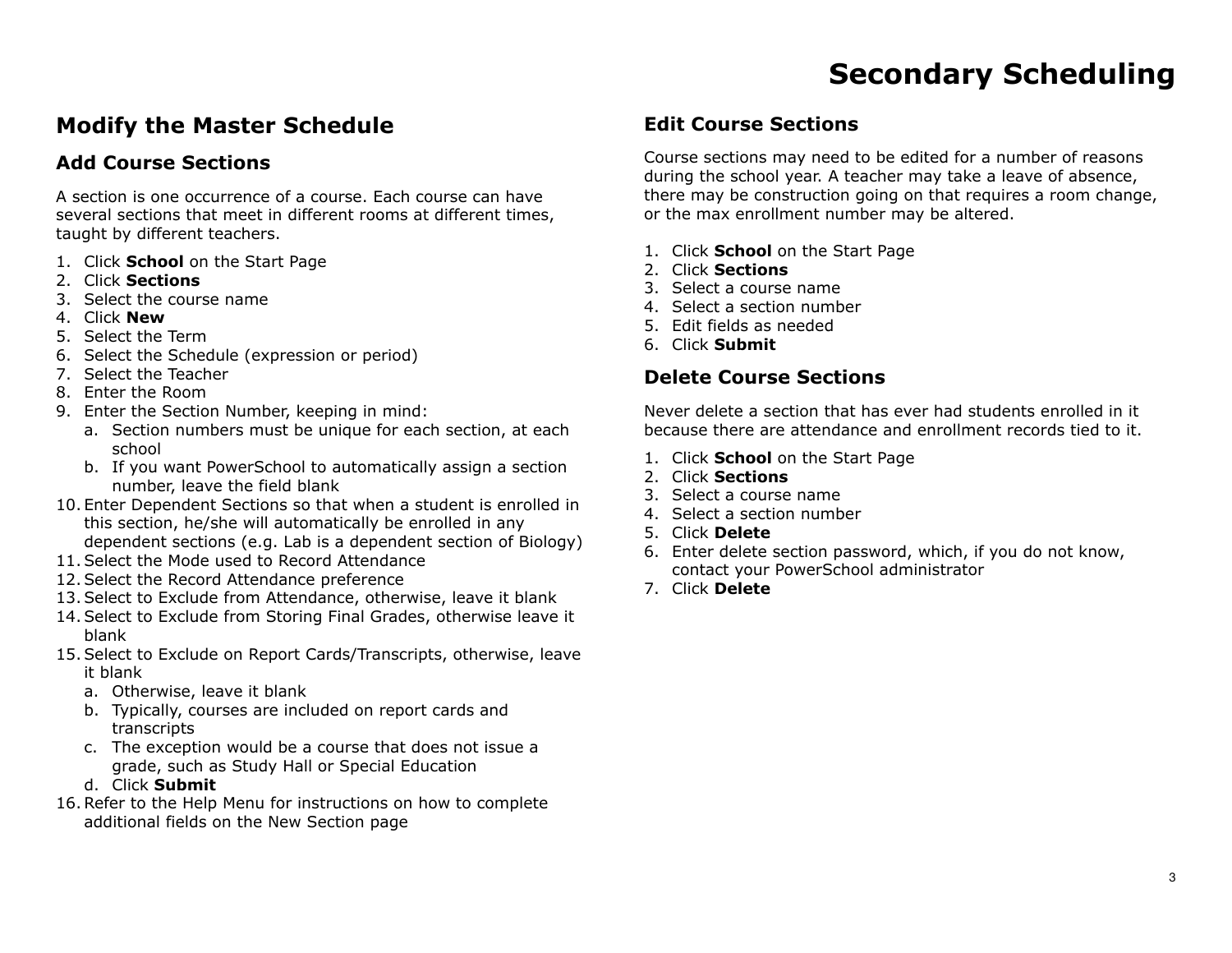#### **Modify the Master Schedule**

#### **Add Course Sections**

A section is one occurrence of a course. Each course can have several sections that meet in different rooms at different times, taught by different teachers.

- 1. Click **School** on the Start Page
- 2. Click **Sections**
- 3. Select the course name
- 4. Click **New**
- 5. Select the Term
- 6. Select the Schedule (expression or period)
- 7. Select the Teacher
- 8. Enter the Room
- 9. Enter the Section Number, keeping in mind:
	- a. Section numbers must be unique for each section, at each school
	- b. If you want PowerSchool to automatically assign a section number, leave the field blank
- 10. Enter Dependent Sections so that when a student is enrolled in this section, he/she will automatically be enrolled in any dependent sections (e.g. Lab is a dependent section of Biology)
- 11.Select the Mode used to Record Attendance
- 12.Select the Record Attendance preference
- 13.Select to Exclude from Attendance, otherwise, leave it blank
- 14.Select to Exclude from Storing Final Grades, otherwise leave it blank
- 15.Select to Exclude on Report Cards/Transcripts, otherwise, leave it blank
	- a. Otherwise, leave it blank
	- b. Typically, courses are included on report cards and transcripts
	- c. The exception would be a course that does not issue a grade, such as Study Hall or Special Education
	- d. Click **Submit**
- 16.Refer to the Help Menu for instructions on how to complete additional fields on the New Section page

#### **Edit Course Sections**

Course sections may need to be edited for a number of reasons during the school year. A teacher may take a leave of absence, there may be construction going on that requires a room change, or the max enrollment number may be altered.

- 1. Click **School** on the Start Page
- 2. Click **Sections**
- 3. Select a course name
- 4. Select a section number
- 5. Edit fields as needed
- 6. Click **Submit**

#### **Delete Course Sections**

Never delete a section that has ever had students enrolled in it because there are attendance and enrollment records tied to it.

- 1. Click **School** on the Start Page
- 2. Click **Sections**
- 3. Select a course name
- 4. Select a section number
- 5. Click **Delete**
- 6. Enter delete section password, which, if you do not know, contact your PowerSchool administrator
- 7. Click **Delete**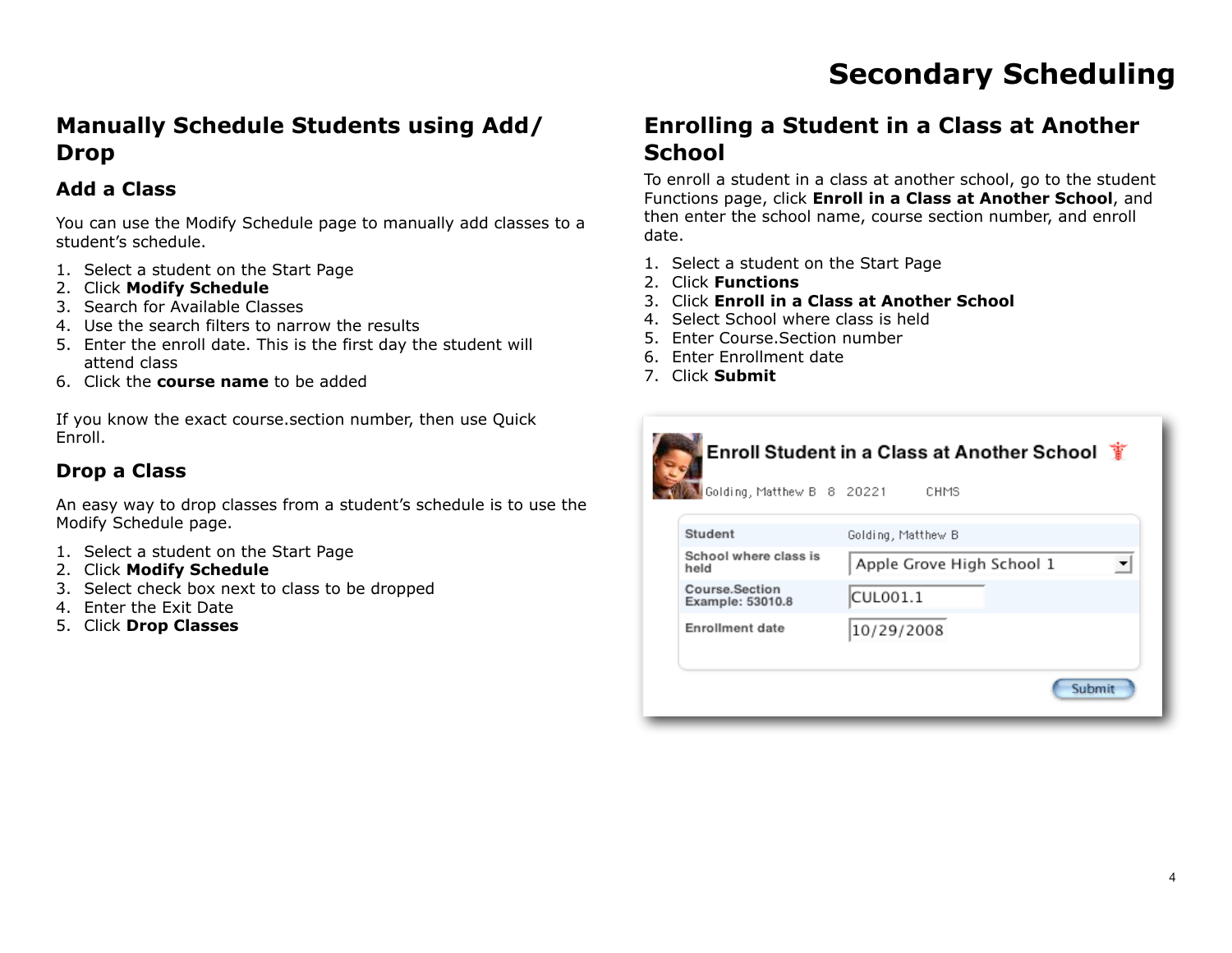#### **Manually Schedule Students using Add/ Drop**

#### **Add a Class**

You can use the Modify Schedule page to manually add classes to a student's schedule.

- 1. Select a student on the Start Page
- 2. Click **Modify Schedule**
- 3. Search for Available Classes
- 4. Use the search filters to narrow the results
- 5. Enter the enroll date. This is the first day the student will attend class
- 6. Click the **course name** to be added

If you know the exact course.section number, then use Quick Enroll.

#### **Drop a Class**

An easy way to drop classes from a student's schedule is to use the Modify Schedule page.

- 1. Select a student on the Start Page
- 2. Click **Modify Schedule**
- 3. Select check box next to class to be dropped
- 4. Enter the Exit Date
- 5. Click **Drop Classes**

#### **Enrolling a Student in a Class at Another School**

To enroll a student in a class at another school, go to the student Functions page, click **Enroll in a Class at Another School**, and then enter the school name, course section number, and enroll date.

- 1. Select a student on the Start Page
- 2. Click **Functions**
- 3. Click **Enroll in a Class at Another School**
- 4. Select School where class is held
- 5. Enter Course.Section number
- 6. Enter Enrollment date
- 7. Click **Submit**



Submit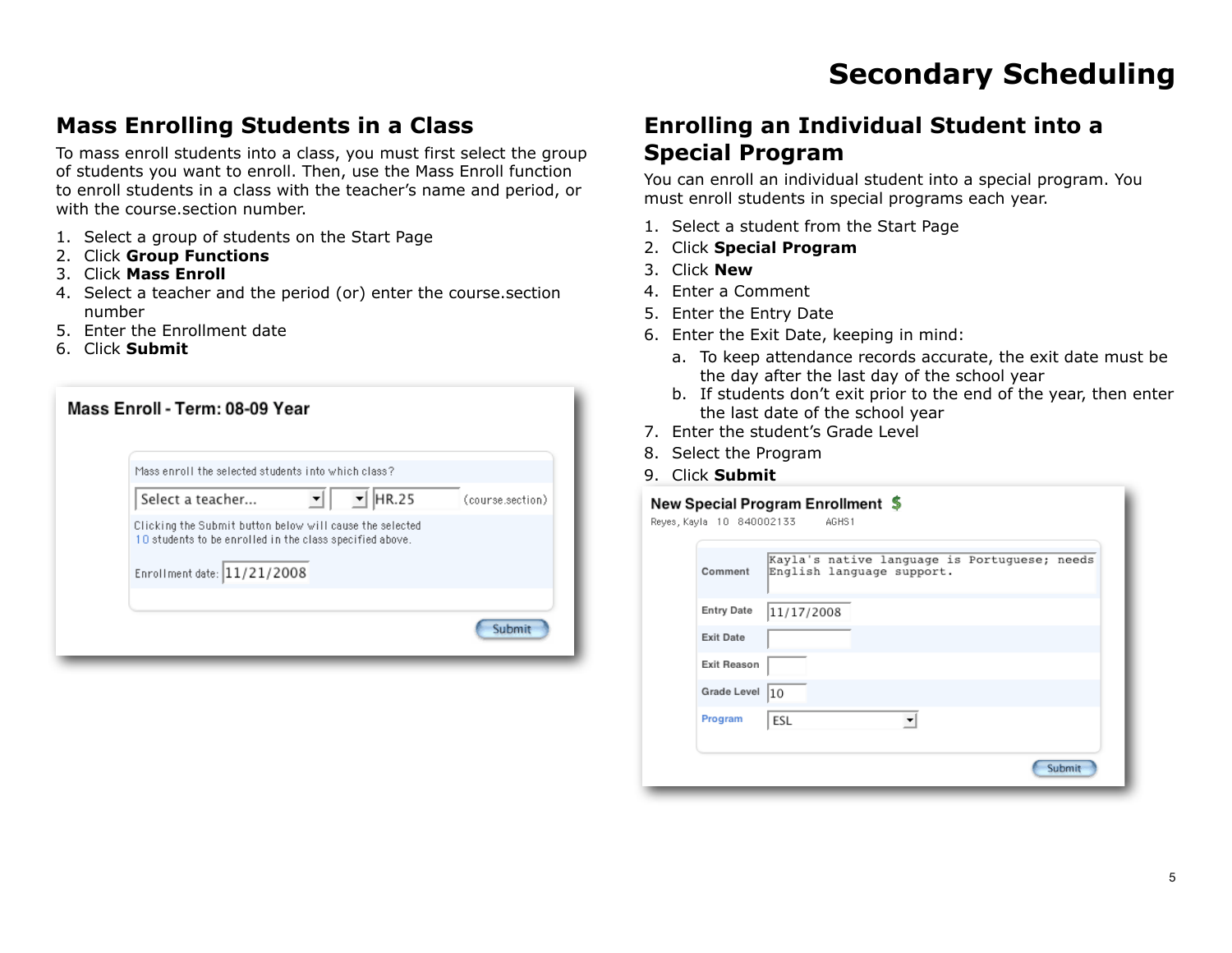#### **Mass Enrolling Students in a Class**

To mass enroll students into a class, you must first select the group of students you want to enroll. Then, use the Mass Enroll function to enroll students in a class with the teacher's name and period, or with the course.section number.

- 1. Select a group of students on the Start Page
- 2. Click **Group Functions**
- 3. Click **Mass Enroll**
- 4. Select a teacher and the period (or) enter the course.section number
- 5. Enter the Enrollment date
- 6. Click **Submit**

| Mass Enroll - Term: 08-09 Year                                                                                                                      |                  |
|-----------------------------------------------------------------------------------------------------------------------------------------------------|------------------|
| Mass enroll the selected students into which class?                                                                                                 |                  |
| HR.25<br>Select a teacher<br>▾                                                                                                                      | (course.section) |
| Clicking the Submit button below will cause the selected<br>10 students to be enrolled in the class specified above.<br>Enrollment date: 11/21/2008 |                  |
|                                                                                                                                                     | Submi            |

#### **Enrolling an Individual Student into a Special Program**

You can enroll an individual student into a special program. You must enroll students in special programs each year.

- 1. Select a student from the Start Page
- 2. Click **Special Program**
- 3. Click **New**
- 4. Enter a Comment
- 5. Enter the Entry Date
- 6. Enter the Exit Date, keeping in mind:
	- a. To keep attendance records accurate, the exit date must be the day after the last day of the school year
	- b. If students don't exit prior to the end of the year, then enter the last date of the school year
- 7. Enter the student's Grade Level
- 8. Select the Program
- 9. Click **Submit**

#### New Special Program Enrollment \$

| Comment            | Kayla's native language is Portuguese; needs<br>English language support. |
|--------------------|---------------------------------------------------------------------------|
| <b>Entry Date</b>  | 11/17/2008                                                                |
| <b>Exit Date</b>   |                                                                           |
| <b>Exit Reason</b> |                                                                           |
| Grade Level        | 10                                                                        |
| Program            | ESL                                                                       |
|                    |                                                                           |